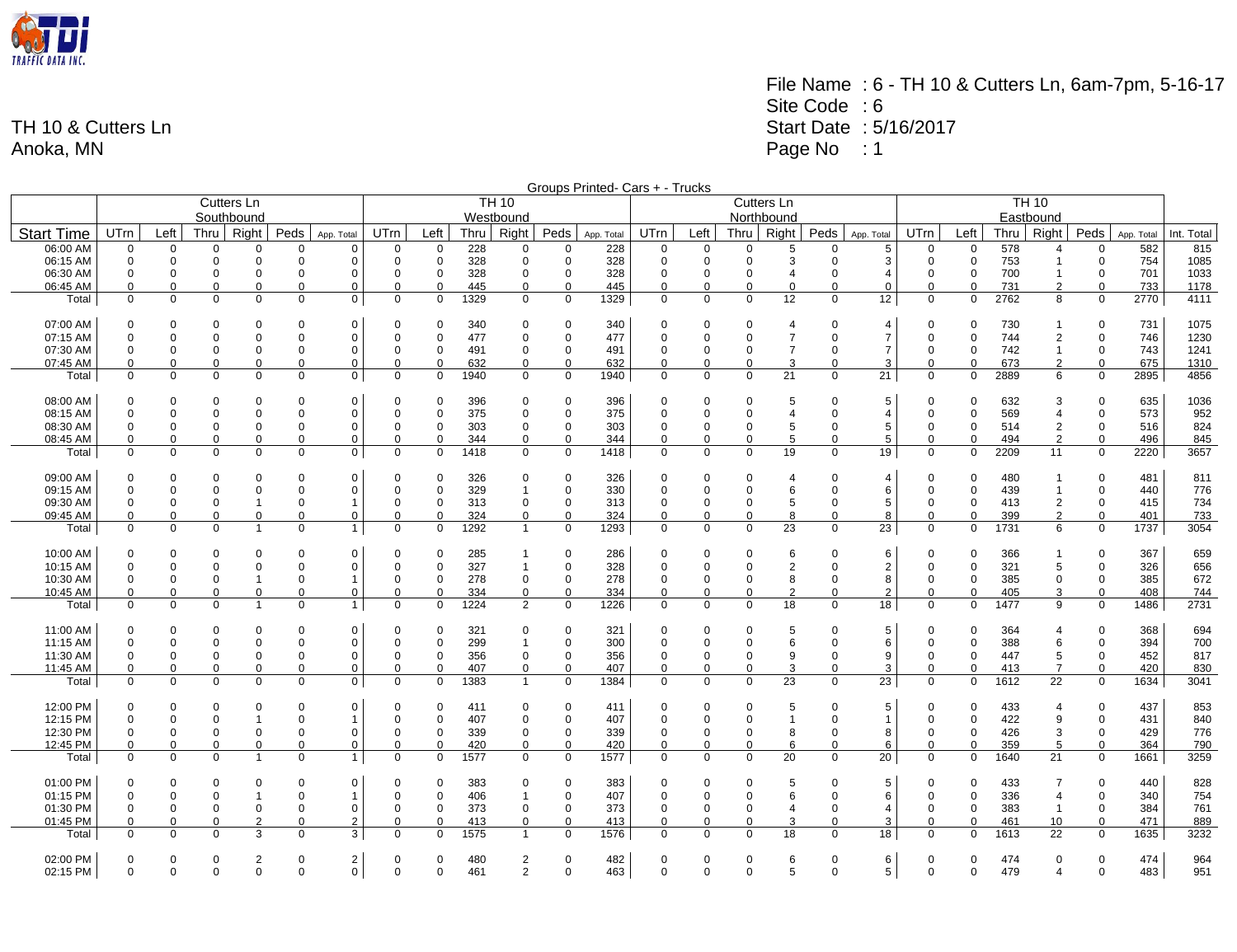

File Name : 6 - TH 10 & Cutters Ln, 6am-7pm, 5-16-17 Site Code : 6 Start Date : 5/16/2017 Page No : 1

|                      |             |                            |                            |                     |                         |                              |                  |                            |            |                |               | Groups Printed- Cars + - Trucks |             |                  |                            |                     |                            |                     |                  |                  |             |                     |                  |            |             |
|----------------------|-------------|----------------------------|----------------------------|---------------------|-------------------------|------------------------------|------------------|----------------------------|------------|----------------|---------------|---------------------------------|-------------|------------------|----------------------------|---------------------|----------------------------|---------------------|------------------|------------------|-------------|---------------------|------------------|------------|-------------|
|                      |             | <b>TH 10</b><br>Cutters Ln |                            |                     |                         |                              |                  |                            |            |                |               |                                 |             |                  |                            | Cutters Ln          |                            |                     | <b>TH 10</b>     |                  |             |                     |                  |            |             |
|                      | Southbound  |                            |                            |                     |                         |                              |                  |                            |            | Westbound      |               |                                 |             |                  |                            | Northbound          |                            |                     | Eastbound        |                  |             |                     |                  |            |             |
| <b>Start Time</b>    | UTrn        | Left                       |                            | Thru   Right        | Peds                    | App. Total                   | UTrn             | Left                       | Thru       | Right          | Peds          | App. Total                      | UTrn        | Left             |                            | Thru   Right        | Peds                       | App. Total          | UTrn             | Left             | Thru        | Right               | Peds             | App. Total | Int. Total  |
| 06:00 AM             | 0           | $\mathbf 0$                | 0                          | 0                   | 0                       | $\Omega$                     | $\mathbf 0$      | $\mathbf 0$                | 228        | $\mathbf 0$    | 0             | 228                             | $\Omega$    | 0                | $\Omega$                   | 5                   | 0                          | 5                   | 0                | $\Omega$         | 578         | 4                   | 0                | 582        | 815         |
| 06:15 AM             | 0           | $\mathbf 0$                | $\mathbf 0$                | $\mathbf 0$         | $\mathbf 0$             | 0                            | $\Omega$         | $\mathbf 0$                | 328        | $\mathbf 0$    | $\mathbf 0$   | 328                             | $\mathbf 0$ | $\mathbf 0$      | $\mathbf 0$                | 3                   | $\Omega$                   | 3                   | 0                | $\mathbf 0$      | 753         | $\mathbf 1$         | $\mathbf 0$      | 754        | 1085        |
| 06:30 AM             | 0           | $\mathbf 0$                | $\mathbf 0$                | 0                   | 0                       | $\Omega$                     | $\Omega$         | 0                          | 328        | $\mathbf 0$    | $\mathbf 0$   | 328                             | $\mathbf 0$ | $\Omega$         | $\mathbf 0$                | $\overline{4}$      | $\Omega$                   | $\overline{4}$      | 0                | $\Omega$         | 700         | $\mathbf 1$         | 0                | 701        | 1033        |
| 06:45 AM             | 0           | $\mathbf 0$                | $\mathbf 0$<br>$\mathbf 0$ | 0                   | $\mathbf 0$             | 0                            | $\mathbf 0$      | $\mathbf 0$<br>$\mathbf 0$ | 445        | $\mathbf 0$    | $\mathbf 0$   | 445                             | 0           | 0<br>$\mathbf 0$ | $\mathbf 0$<br>$\mathbf 0$ | $\mathbf 0$<br>12   | $\mathbf 0$<br>$\mathbf 0$ | $\mathbf 0$<br>12   | 0<br>$\mathbf 0$ | $\Omega$         | 731         | $\overline{2}$<br>8 | 0                | 733        | 1178        |
| Total                | 0           | $\mathbf 0$                |                            | 0                   | $\mathbf 0$             | $\mathbf 0$                  | $\mathbf 0$      |                            | 1329       | $\mathbf 0$    | 0             | 1329                            | $\mathbf 0$ |                  |                            |                     |                            |                     |                  | 0                | 2762        |                     | $\mathbf 0$      | 2770       | 4111        |
| 07:00 AM             | 0           | 0                          | 0                          | 0                   | 0                       | 0                            | 0                | 0                          | 340        | 0              | 0             | 340                             | 0           | 0                | 0                          | $\overline{4}$      | $\Omega$                   | $\overline{4}$      | 0                | 0                | 730         | $\mathbf{1}$        | 0                | 731        | 1075        |
| 07:15 AM             | 0           | $\mathbf 0$                | $\Omega$                   | 0                   | 0                       | 0                            | $\Omega$         | $\mathbf 0$                | 477        | $\mathbf 0$    | $\mathbf 0$   | 477                             | 0           | 0                | $\mathbf 0$                | $\overline{7}$      | $\Omega$                   | $\overline{7}$      | $\Omega$         | 0                | 744         | 2                   | 0                | 746        | 1230        |
| 07:30 AM             | $\mathbf 0$ | $\Omega$                   | $\Omega$                   | 0                   | $\mathbf 0$             | $\Omega$                     | $\Omega$         | $\mathbf 0$                | 491        | 0              | 0             | 491                             | 0           | $\Omega$         | $\mathbf 0$                | $\overline{7}$      | $\Omega$                   | $\overline{7}$      | 0                | $\Omega$         | 742         | $\mathbf{1}$        | $\mathbf 0$      | 743        | 1241        |
| 07:45 AM             | $\Omega$    | $\mathbf 0$                | $\Omega$                   | $\Omega$            | $\mathbf 0$             | $\Omega$                     | $\mathbf 0$      | $\Omega$                   | 632        | $\mathbf 0$    | $\Omega$      | 632                             | $\Omega$    | $\Omega$         | $\Omega$                   | 3                   | $\Omega$                   | 3                   | $\mathbf 0$      | $\Omega$         | 673         | $\mathfrak{p}$      | $\Omega$         | 675        | 1310        |
| Total                | 0           | $\mathbf 0$                | $\mathbf 0$                | 0                   | $\mathbf 0$             | $\mathbf 0$                  | $\mathbf 0$      | $\mathbf 0$                | 1940       | $\mathbf 0$    | $\mathbf 0$   | 1940                            | $\mathbf 0$ | $\mathbf 0$      | $\mathbf 0$                | 21                  | $\mathbf 0$                | 21                  | $\mathbf 0$      | 0                | 2889        | 6                   | $\mathbf 0$      | 2895       | 4856        |
| 08:00 AM             | $\Omega$    | $\Omega$                   | $\Omega$                   | $\Omega$            | $\mathbf 0$             | $\Omega$                     | $\Omega$         | $\Omega$                   | 396        | $\Omega$       | 0             | 396                             | $\Omega$    | $\Omega$         | $\Omega$                   | 5                   | $\Omega$                   | 5                   | $\Omega$         | 0                | 632         | 3                   | $\Omega$         | 635        | 1036        |
| 08:15 AM             | 0           | $\mathbf 0$                | $\Omega$                   | $\mathbf 0$         | $\mathbf 0$             | $\Omega$                     | $\Omega$         | $\mathbf 0$                | 375        | $\Omega$       | $\mathbf 0$   | 375                             | $\mathbf 0$ | $\Omega$         | $\mathbf 0$                | $\overline{4}$      | $\Omega$                   | $\overline{4}$      | $\Omega$         | $\mathbf 0$      | 569         | 4                   | $\mathbf 0$      | 573        | 952         |
| 08:30 AM             | 0           | $\mathbf 0$                | $\mathbf 0$                | 0                   | $\mathbf 0$             | $\mathbf 0$                  | $\Omega$         | $\mathbf 0$                | 303        | $\mathbf 0$    | 0             | 303                             | $\mathbf 0$ | 0                | $\mathbf 0$                | 5                   | $\Omega$                   | 5                   | 0                | 0                | 514         | $\overline{2}$      | $\mathbf 0$      | 516        | 824         |
| 08:45 AM             | 0           | $\mathbf 0$                | $\mathbf 0$                | 0                   | $\mathbf 0$             | 0                            | 0                | $\mathbf 0$                | 344        | $\mathbf 0$    | $\Omega$      | 344                             | 0           | $\mathbf 0$      | $\mathbf 0$                | 5                   | $\Omega$                   | 5                   | 0                | $\mathbf 0$      | 494         | 2                   | $\mathbf 0$      | 496        | 845         |
| Total                | $\mathbf 0$ | $\mathbf 0$                | $\mathbf 0$                | $\mathbf 0$         | $\mathbf 0$             | 0                            | $\mathbf 0$      | $\mathbf 0$                | 1418       | $\mathbf 0$    | $\mathbf 0$   | 1418                            | $\mathbf 0$ | $\mathbf 0$      | $\mathbf 0$                | 19                  | $\mathbf 0$                | 19                  | $\mathbf 0$      | $\mathbf 0$      | 2209        | 11                  | $\mathbf 0$      | 2220       | 3657        |
| 09:00 AM             | 0           | $\mathbf 0$                | $\Omega$                   | 0                   | 0                       | 0                            | $\Omega$         | $\mathbf 0$                | 326        | $\mathbf 0$    | 0             | 326                             | 0           | 0                | 0                          | $\overline{4}$      | $\Omega$                   | $\overline{4}$      | $\Omega$         | 0                | 480         | $\mathbf 1$         | 0                | 481        | 811         |
| 09:15 AM             | 0           | $\mathbf 0$                | $\mathbf 0$                | $\mathbf 0$         | $\mathbf 0$             | $\mathbf 0$                  | $\Omega$         | $\mathbf 0$                | 329        | $\mathbf{1}$   | $\mathbf 0$   | 330                             | $\mathbf 0$ | $\mathbf 0$      | $\mathbf 0$                | 6                   | $\Omega$                   | 6                   | 0                | $\mathbf 0$      | 439         | $\mathbf{1}$        | $\mathbf 0$      | 440        | 776         |
| 09:30 AM             | 0           | $\mathbf 0$                | 0                          | 1                   | 0                       |                              | $\mathbf 0$      | 0                          | 313        | 0              | $\mathbf 0$   | 313                             | 0           | 0                | $\mathbf 0$                | 5                   | 0                          | 5                   | 0                | 0                | 413         | $\overline{2}$      | 0                | 415        | 734         |
| 09:45 AM             | $\Omega$    | $\pmb{0}$                  | $\Omega$                   | $\mathbf 0$         | $\mathbf 0$             | 0                            | 0                | $\mathbf 0$                | 324        | 0              | $\Omega$      | 324                             | 0           | 0                | $\mathbf 0$                | 8                   | 0                          | 8                   | 0                | 0                | 399         | $\overline{2}$      | 0                | 401        | 733         |
| Total                | 0           | $\mathbf 0$                | $\Omega$                   | $\mathbf{1}$        | $\mathbf 0$             | $\mathbf{1}$                 | $\Omega$         | $\mathbf 0$                | 1292       | $\mathbf{1}$   | 0             | 1293                            | $\mathbf 0$ | $\mathbf 0$      | $\Omega$                   | 23                  | $\Omega$                   | 23                  | $\mathbf 0$      | 0                | 1731        | 6                   | $\mathbf 0$      | 1737       | 3054        |
| 10:00 AM             | 0           | $\mathbf 0$                | $\Omega$                   | $\mathbf 0$         | 0                       | 0                            | $\Omega$         | $\Omega$                   | 285        | $\mathbf{1}$   | $\mathbf 0$   | 286                             | 0           | $\Omega$         | $\mathbf 0$                | 6                   | $\Omega$                   | 6                   | $\Omega$         | 0                | 366         | 1                   | $\mathbf 0$      | 367        | 659         |
| 10:15 AM             | 0           | $\overline{0}$             | $\Omega$                   | $\mathbf 0$         | $\mathbf 0$             | $\Omega$                     | $\Omega$         | $\mathbf 0$                | 327        | $\mathbf{1}$   | 0             | 328                             | $\mathbf 0$ | $\Omega$         | $\mathbf 0$                | $\overline{2}$      | $\Omega$                   | $\overline{2}$      | $\mathbf 0$      | $\mathbf 0$      | 321         | 5                   | $\mathbf 0$      | 326        | 656         |
| 10:30 AM             | 0           | $\mathbf 0$                | $\mathbf 0$                | $\overline{1}$      | $\mathbf 0$             |                              | $\mathbf 0$      | $\mathbf 0$                | 278        | 0              | 0             | 278                             | 0           | 0                | $\mathbf 0$                | 8                   | 0                          | 8                   | 0                | 0                | 385         | $\Omega$            | $\mathbf 0$      | 385        | 672         |
| 10:45 AM             | $\Omega$    | $\mathbf 0$                | $\Omega$                   | $\mathbf 0$         | $\mathbf 0$             | $\mathbf 0$                  | $\mathbf 0$      | $\mathbf 0$                | 334        | $\mathbf 0$    | $\Omega$      | 334                             | $\mathbf 0$ | $\mathbf 0$      | $\Omega$                   | $\overline{2}$      | $\mathbf 0$                | $\overline{2}$      | $\mathbf 0$      | $\mathbf 0$      | 405         | 3                   | $\mathbf 0$      | 408        | 744         |
| Total                | 0           | $\mathbf 0$                | $\Omega$                   | $\overline{1}$      | $\mathbf 0$             | $\mathbf{1}$                 | $\mathbf 0$      | $\Omega$                   | 1224       | 2              | $\Omega$      | 1226                            | $\Omega$    | $\mathbf 0$      | $\Omega$                   | 18                  | $\Omega$                   | 18                  | $\Omega$         | 0                | 1477        | 9                   | $\mathbf 0$      | 1486       | 2731        |
| 11:00 AM             | $\Omega$    | $\mathbf 0$                | 0                          | $\Omega$            | 0                       | 0                            | $\Omega$         | $\Omega$                   | 321        | $\mathbf 0$    | $\mathbf 0$   | 321                             | 0           | 0                | $\mathbf 0$                | 5                   | $\Omega$                   | 5                   | $\Omega$         | $\Omega$         | 364         | 4                   | $\mathbf 0$      | 368        | 694         |
| 11:15 AM             | 0           | $\mathbf 0$                | $\mathbf 0$                | $\mathbf 0$         | $\overline{0}$          | 0                            | $\Omega$         | $\mathbf 0$                | 299        | $\mathbf{1}$   | $\mathbf 0$   | 300                             | 0           | 0                | $\mathbf 0$                | 6                   | $\Omega$                   | 6                   | $\Omega$         | 0                | 388         | 6                   | $\mathbf 0$      | 394        | 700         |
| 11:30 AM             | 0           | $\mathbf 0$                | $\mathbf 0$                | 0                   | $\mathbf 0$             | 0                            | $\mathbf 0$      | 0                          | 356        | $\mathbf 0$    | 0             | 356                             | $\mathbf 0$ | 0                | $\mathbf 0$                | 9                   | $\Omega$                   | 9                   | 0                | 0                | 447         | 5                   | $\mathbf 0$      | 452        | 817         |
| 11:45 AM             | $\Omega$    | $\mathbf 0$                | $\mathbf 0$                | $\Omega$            | $\mathbf 0$             | 0                            | $\mathbf 0$      | $\mathbf 0$                | 407        | $\mathbf 0$    | $\Omega$      | 407                             | 0           | 0                | $\mathbf 0$                | 3                   | $\mathbf 0$                | 3                   | 0                | 0                | 413         | $\overline{7}$      | 0                | 420        | 830         |
| Total                | $\mathbf 0$ | $\mathbf 0$                | $\Omega$                   | $\Omega$            | $\mathbf 0$             | 0                            | $\mathbf 0$      | $\Omega$                   | 1383       | $\mathbf{1}$   | $\mathbf 0$   | 1384                            | $\Omega$    | $\mathbf 0$      | $\Omega$                   | 23                  | $\mathbf 0$                | 23                  | $\mathbf 0$      | 0                | 1612        | 22                  | $\mathbf 0$      | 1634       | 3041        |
|                      | $\Omega$    |                            |                            |                     |                         | $\Omega$                     | $\Omega$         |                            |            | $\Omega$       | $\Omega$      |                                 | $\Omega$    | $\Omega$         |                            |                     | $\Omega$                   |                     | $\Omega$         | $\Omega$         |             |                     |                  |            |             |
| 12:00 PM<br>12:15 PM | $\mathbf 0$ | $\mathbf 0$<br>$\Omega$    | $\Omega$<br>$\Omega$       | 0<br>$\overline{1}$ | $\mathbf 0$<br>$\Omega$ |                              | $\Omega$         | $\Omega$<br>$\Omega$       | 411<br>407 | $\Omega$       | $\Omega$      | 411<br>407                      | $\mathbf 0$ | $\Omega$         | $\mathbf 0$<br>$\Omega$    | 5<br>$\overline{1}$ | $\Omega$                   | 5<br>$\overline{1}$ | $\Omega$         | 0                | 433<br>422  | 4<br>9              | 0<br>$\mathbf 0$ | 437<br>431 | 853<br>840  |
| 12:30 PM             | $\mathbf 0$ | $\mathbf 0$                | $\mathbf 0$                | $\mathbf 0$         | $\mathbf 0$             | $\Omega$                     | $\Omega$         | $\mathbf 0$                | 339        | $\Omega$       | $\mathbf 0$   | 339                             | $\mathbf 0$ | $\mathbf 0$      | $\mathbf 0$                | 8                   | 0                          | 8                   | 0                | $\mathbf 0$      | 426         | 3                   | $\mathbf 0$      | 429        | 776         |
| 12:45 PM             | $\Omega$    | $\mathbf 0$                | $\Omega$                   | $\Omega$            | $\mathbf 0$             | $\mathbf 0$                  | $\mathbf 0$      | $\Omega$                   | 420        | $\mathbf 0$    | $\Omega$      | 420                             | 0           | $\Omega$         | $\Omega$                   | 6                   | $\Omega$                   | 6                   | $\Omega$         | $\Omega$         | 359         | 5                   | $\mathbf 0$      | 364        | 790         |
| Total                | $\mathbf 0$ | $\mathbf 0$                | $\mathbf 0$                | $\overline{1}$      | $\mathbf 0$             | $\mathbf{1}$                 | $\mathbf 0$      | $\mathbf 0$                | 1577       | $\mathbf 0$    | $\mathbf 0$   | 1577                            | $\mathbf 0$ | $\mathbf 0$      | $\mathbf 0$                | 20                  | $\Omega$                   | 20                  | $\mathbf 0$      | $\mathbf 0$      | 1640        | 21                  | $\mathbf 0$      | 1661       | 3259        |
|                      |             |                            |                            |                     |                         |                              |                  |                            |            |                |               |                                 |             |                  |                            |                     |                            |                     |                  |                  |             |                     |                  |            |             |
| 01:00 PM             | 0           | $\mathbf 0$                | $\mathbf 0$                | $\mathbf 0$         | 0                       | 0                            | $\Omega$         | $\mathbf 0$                | 383        | $\mathbf 0$    | $\mathbf 0$   | 383                             | 0           | 0                | 0                          | 5                   | $\Omega$                   | 5                   | $\Omega$         | 0                | 433         | $\overline{7}$      | 0                | 440        | 828         |
| 01:15 PM             | 0           | $\mathbf 0$                | $\Omega$                   | $\mathbf{1}$        | $\mathbf 0$             | 1                            | $\Omega$         | $\mathbf 0$                | 406        | $\mathbf{1}$   | 0             | 407                             | $\mathbf 0$ | $\mathbf 0$      | $\mathbf 0$                | 6                   | $\Omega$                   | 6                   | $\Omega$         | $\mathbf 0$      | 336         | $\overline{4}$      | 0                | 340        | 754         |
| 01:30 PM             | 0           | $\mathbf 0$<br>$\mathbf 0$ | 0                          | 0                   | 0<br>$\mathbf 0$        | 0                            | 0<br>$\mathbf 0$ | 0<br>$\mathbf 0$           | 373<br>413 | 0<br>0         | 0<br>$\Omega$ | 373                             | $\mathbf 0$ | 0<br>$\mathbf 0$ | $\mathbf 0$<br>$\mathbf 0$ | $\overline{4}$<br>3 | 0<br>0                     | $\overline{4}$      | 0                | 0<br>$\mathbf 0$ | 383         | $\mathbf{1}$        | 0<br>0           | 384<br>471 | 761         |
| 01:45 PM<br>Total    | 0<br>0      | $\mathbf 0$                | 0<br>$\mathbf 0$           | $\overline{2}$<br>3 | $\mathbf 0$             | $\overline{\mathbf{c}}$<br>3 | $\mathbf 0$      | $\Omega$                   | 1575       | $\mathbf{1}$   | $\mathbf 0$   | 413<br>1576                     | 0<br>0      | 0                | $\mathbf 0$                | 18                  | 0                          | 3<br>18             | 0<br>0           | 0                | 461<br>1613 | 10<br>22            | 0                | 1635       | 889<br>3232 |
|                      |             |                            |                            |                     |                         |                              |                  |                            |            |                |               |                                 |             |                  |                            |                     |                            |                     |                  |                  |             |                     |                  |            |             |
| 02:00 PM             | 0           | $\mathbf 0$                | 0                          | $\overline{2}$      | $\mathbf 0$             | $\overline{c}$               | 0                | 0                          | 480        | $\overline{2}$ | 0             | 482                             | 0           | 0                | 0                          | 6                   | $\Omega$                   | 6                   | 0                | 0                | 474         | $\mathbf 0$         | 0                | 474        | 964         |
| 02:15 PM             | $\mathbf 0$ | $\Omega$                   | $\Omega$                   | $\mathbf 0$         | $\mathbf 0$             | 0                            | $\mathbf 0$      | $\Omega$                   | 461        | $\overline{2}$ | $\Omega$      | 463                             | $\Omega$    | $\Omega$         | $\mathbf 0$                | 5                   | $\Omega$                   | 5                   | $\Omega$         | 0                | 479         | 4                   | $\mathbf{0}$     | 483        | 951         |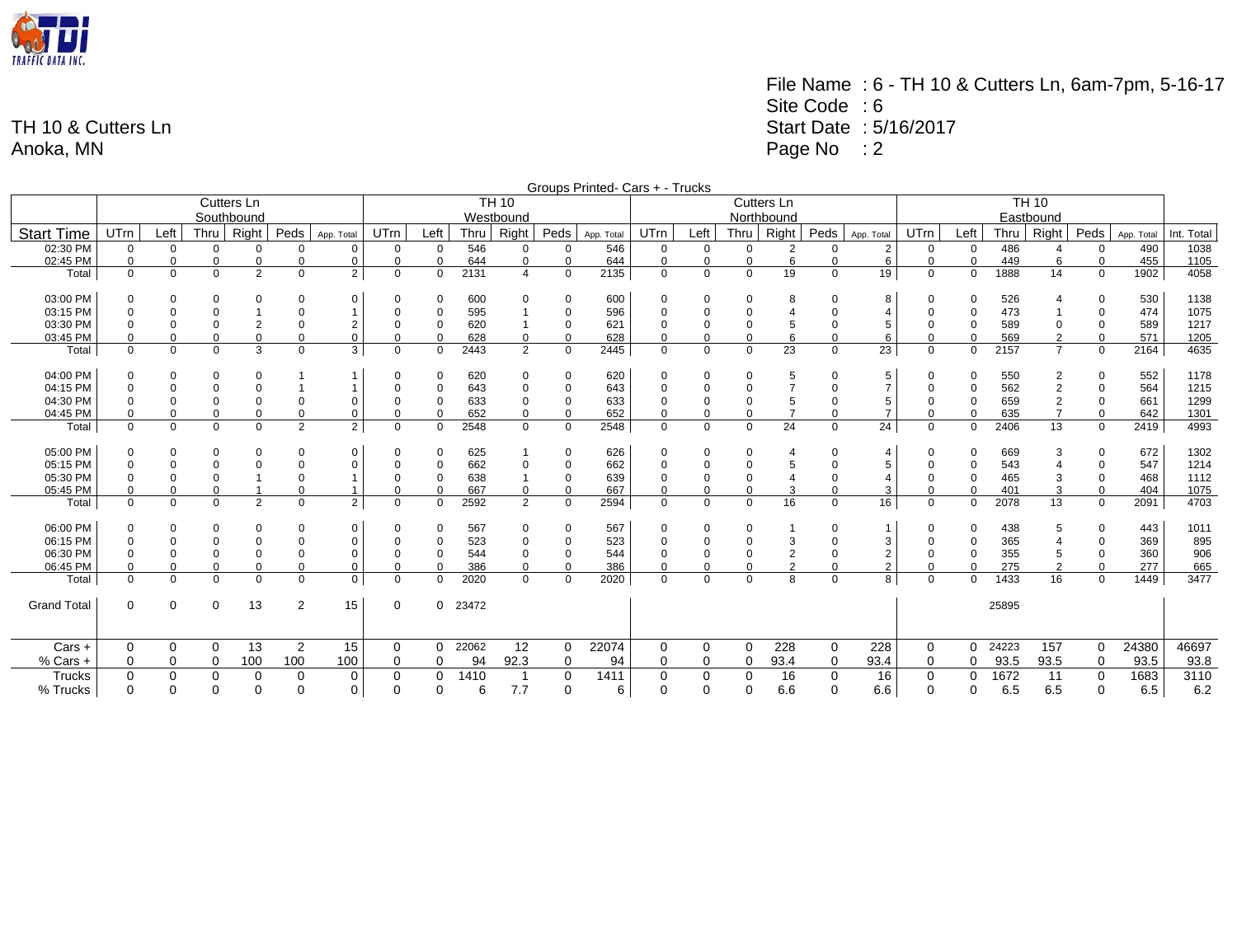

File Name : 6 - TH 10 & Cutters Ln, 6am-7pm, 5-16-17 Site Code : 6 Start Date : 5/16/2017 Page No : 2

|                    | Groups Printed- Cars + - Trucks |             |             |                |                |                |             |             |         |                |             |            |             |             |             |                |          |                |              |             |       |                |             |            |            |
|--------------------|---------------------------------|-------------|-------------|----------------|----------------|----------------|-------------|-------------|---------|----------------|-------------|------------|-------------|-------------|-------------|----------------|----------|----------------|--------------|-------------|-------|----------------|-------------|------------|------------|
|                    |                                 |             |             | Cutters Ln     |                |                |             |             |         | <b>TH 10</b>   |             |            |             |             |             | Cutters Ln     |          |                | <b>TH 10</b> |             |       |                |             |            |            |
|                    |                                 |             |             | Southbound     |                |                |             |             |         | Westbound      |             |            |             |             |             | Northbound     |          |                | Eastbound    |             |       |                |             |            |            |
| <b>Start Time</b>  | UTrn                            | Left        | <b>Thru</b> | Right          | Peds           | App. Total     | UTrn        | Left        | Thru    | Right          | Peds        | App. Total | UTrn        | Left        | Thru        | Right          | Peds     | App. Total     | UTrn         | Left        | Thru  | Right          | Peds        | App. Total | Int. Total |
| 02:30 PM           | $\mathbf 0$                     | $\mathbf 0$ | $\Omega$    | $\Omega$       | $\Omega$       | 0              | $\Omega$    | $\Omega$    | 546     | $\mathbf 0$    | $\Omega$    | 546        | $\Omega$    | $\mathbf 0$ | $\mathbf 0$ | $\overline{2}$ | $\Omega$ | 2              | $\mathbf 0$  | 0           | 486   |                | 0           | 490        | 1038       |
| 02:45 PM           | 0                               | 0           | $\Omega$    | 0              | $\mathbf 0$    | 0              | $\mathbf 0$ | 0           | 644     | $\mathbf 0$    | 0           | 644        | 0           | $\mathbf 0$ | $\Omega$    | 6              | 0        | 6              | $\mathbf 0$  | $\mathbf 0$ | 449   | 6              | $\mathbf 0$ | 455        | 1105       |
| Total              | $\Omega$                        | $\mathbf 0$ | $\Omega$    | $\overline{2}$ | $\Omega$       | $\overline{2}$ | $\Omega$    | $\Omega$    | 2131    | 4              | $\Omega$    | 2135       | $\mathbf 0$ | $\mathbf 0$ | $\Omega$    | 19             | $\Omega$ | 19             | $\mathbf 0$  | 0           | 1888  | 14             | $\Omega$    | 1902       | 4058       |
| 03:00 PM           | O                               | $\mathbf 0$ | $\Omega$    | $\Omega$       | $\Omega$       | 0              |             | $\Omega$    | 600     | $\Omega$       | $\Omega$    | 600        | 0           | $\Omega$    | $\Omega$    | 8              |          | 8              | $\Omega$     | 0           | 526   |                |             | 530        | 1138       |
| 03:15 PM           |                                 | $\mathbf 0$ | $\Omega$    |                |                |                |             | $\Omega$    | 595     |                | $\mathbf 0$ | 596        | 0           |             | $\Omega$    |                |          | $\overline{4}$ |              | 0           | 473   |                |             | 474        | 1075       |
| 03:30 PM           |                                 | $\Omega$    | $\Omega$    | 2              |                | 2              |             | $\Omega$    | 620     |                | $\Omega$    | 621        | 0           |             | 0           | 5              |          | 5              |              | 0           | 589   |                | $\Omega$    | 589        | 1217       |
| 03:45 PM           |                                 | $\mathbf 0$ | $\Omega$    | 0              | $\Omega$       | 0              |             | $\Omega$    | 628     | 0              | $\Omega$    | 628        | $\Omega$    | $\Omega$    | $\Omega$    | 6              |          | 6              | $\Omega$     | $\Omega$    | 569   | $\overline{2}$ | $\Omega$    | 571        | 1205       |
| Total              | $\Omega$                        | $\mathbf 0$ | $\mathbf 0$ | 3              | $\mathbf 0$    | 3              | $\mathbf 0$ | $\Omega$    | 2443    | $\overline{2}$ | $\Omega$    | 2445       | $\mathbf 0$ | $\mathbf 0$ | $\mathbf 0$ | 23             | $\Omega$ | 23             | $\mathbf 0$  | $\Omega$    | 2157  | $\overline{7}$ | 0           | 2164       | 4635       |
| 04:00 PM           |                                 | 0           | $\Omega$    | $\Omega$       |                |                |             | $\Omega$    | 620     | $\mathbf 0$    | $\Omega$    | 620        | $\Omega$    | 0           | $\Omega$    | 5              |          | 5              | $\Omega$     | 0           | 550   |                |             | 552        | 1178       |
| 04:15 PM           |                                 | $\mathbf 0$ | $\mathbf 0$ |                |                |                |             | 0           | 643     | $\mathbf 0$    | $\mathbf 0$ | 643        | 0           |             | $\Omega$    | $\overline{7}$ |          | $\overline{7}$ |              | $\Omega$    | 562   |                |             | 564        | 1215       |
| 04:30 PM           |                                 | $\Omega$    | $\Omega$    |                |                | 0              |             | $\mathbf 0$ | 633     | $\mathbf 0$    | $\mathbf 0$ | 633        | $\mathbf 0$ |             | 0           | 5              |          | 5              |              | 0           | 659   |                | $\Omega$    | 661        | 1299       |
| 04:45 PM           |                                 | $\Omega$    | $\Omega$    |                | $\Omega$       | $\Omega$       |             | $\Omega$    | 652     | 0              | $\Omega$    | 652        | $\Omega$    |             | $\Omega$    | 7              |          | $\overline{7}$ | $\Omega$     | $\Omega$    | 635   |                | $\Omega$    | 642        | 1301       |
| Total              | $\Omega$                        | $\mathbf 0$ | $\Omega$    | 0              | $\overline{2}$ | $\overline{2}$ | $\Omega$    | $\Omega$    | 2548    | $\mathbf{0}$   | $\Omega$    | 2548       | $\mathbf 0$ | $\mathbf 0$ | $\mathbf 0$ | 24             | $\Omega$ | 24             | 0            | $\Omega$    | 2406  | 13             | $\Omega$    | 2419       | 4993       |
| 05:00 PM           | $\Omega$                        | 0           | $\Omega$    | 0              | $\Omega$       | 0              | $\Omega$    | $\Omega$    | 625     |                | $\Omega$    | 626        | $\Omega$    | $\Omega$    | $\Omega$    | $\overline{4}$ |          | $\overline{4}$ | $\Omega$     | 0           | 669   |                |             | 672        | 1302       |
| 05:15 PM           |                                 | $\Omega$    | $\Omega$    |                | $\Omega$       | $\Omega$       |             | $\Omega$    | 662     | $\Omega$       | $\Omega$    | 662        | $\Omega$    |             | $\Omega$    | 5              |          | 5              |              | $\Omega$    | 543   |                | $\Omega$    | 547        | 1214       |
| 05:30 PM           |                                 | $\Omega$    | $\Omega$    |                |                |                |             | $\mathbf 0$ | 638     |                | $\mathbf 0$ | 639        | 0           |             | 0           |                |          | $\overline{4}$ |              | 0           | 465   |                | $\Omega$    | 468        | 1112       |
| 05:45 PM           |                                 | $\Omega$    | $\Omega$    |                | $\Omega$       |                | $\Omega$    | $\Omega$    | 667     | 0              | $\Omega$    | 667        | $\Omega$    |             | $\Omega$    | 3              |          | 3              | $\Omega$     | $\Omega$    | 401   |                | $\Omega$    | 404        | 1075       |
| Total              | $\Omega$                        | $\Omega$    | $\Omega$    | $\overline{2}$ | $\Omega$       | $\overline{2}$ | $\Omega$    | $\Omega$    | 2592    | $\overline{2}$ | $\Omega$    | 2594       | $\Omega$    | $\Omega$    | $\Omega$    | 16             | $\Omega$ | 16             | $\Omega$     | $\Omega$    | 2078  | 13             | $\Omega$    | 2091       | 4703       |
| 06:00 PM           | 0                               | 0           | $\Omega$    | $\Omega$       | $\Omega$       | 0              | $\Omega$    | $\Omega$    | 567     | $\mathbf 0$    | 0           | 567        | 0           | 0           | 0           |                |          | $\overline{1}$ | $\Omega$     | 0           | 438   | 5              | 0           | 443        | 1011       |
| 06:15 PM           |                                 | $\mathbf 0$ | $\mathbf 0$ |                | $\Omega$       | 0              |             | 0           | 523     | $\mathbf 0$    | $\mathbf 0$ | 523        | 0           | $\Omega$    | $\Omega$    | 3              |          | $\mathbf{3}$   |              | $\mathbf 0$ | 365   |                | $\Omega$    | 369        | 895        |
| 06:30 PM           |                                 | $\Omega$    | $\mathbf 0$ |                | $\Omega$       | 0              |             | 0           | 544     | $\Omega$       | $\Omega$    | 544        | 0           |             | $\Omega$    | $\overline{2}$ |          | $\overline{2}$ | $\Omega$     | 0           | 355   |                | $\Omega$    | 360        | 906        |
| 06:45 PM           |                                 | $\mathbf 0$ | $\Omega$    | $\Omega$       | $\Omega$       | 0              | $\Omega$    | $\Omega$    | 386     | 0              | $\Omega$    | 386        | $\Omega$    | $\Omega$    | $\Omega$    | $\overline{2}$ |          | 2              | $\Omega$     | $\Omega$    | 275   |                | $\Omega$    | 277        | 665        |
| Total              | $\Omega$                        | $\Omega$    | $\Omega$    | $\Omega$       | $\Omega$       | $\mathbf 0$    | $\Omega$    | $\Omega$    | 2020    | $\Omega$       | $\Omega$    | 2020       | $\Omega$    | $\Omega$    | $\Omega$    | 8              | $\Omega$ | 8 <sup>1</sup> | $\Omega$     | $\Omega$    | 1433  | 16             | $\Omega$    | 1449       | 3477       |
| <b>Grand Total</b> | $\mathbf 0$                     | $\mathbf 0$ | $\Omega$    | 13             | 2              | 15             | $\mathbf 0$ |             | 0 23472 |                |             |            |             |             |             |                |          |                |              |             | 25895 |                |             |            |            |
| $Cars +$           | 0                               | 0           | 0           | 13             | 2              | 15             | 0           | $\Omega$    | 22062   | 12             | 0           | 22074      | 0           | 0           | 0           | 228            | 0        | 228            | 0            | 0           | 24223 | 157            | 0           | 24380      | 46697      |
| $%$ Cars +         | 0                               | $\Omega$    | $\Omega$    | 100            | 100            | 100            | 0           | $\Omega$    | 94      | 92.3           | 0           | 94         | 0           | 0           | 0           | 93.4           | 0        | 93.4           | 0            | 0           | 93.5  | 93.5           | 0           | 93.5       | 93.8       |
| <b>Trucks</b>      | $\Omega$                        | 0           | $\Omega$    | 0              | $\mathbf 0$    | 0              | 0           | 0           | 1410    | -1             | $\mathbf 0$ | 1411       | 0           | $\Omega$    | 0           | 16             | $\Omega$ | 16             | $\Omega$     | 0           | 1672  | 11             | 0           | 1683       | 3110       |
| % Trucks           | $\Omega$                        | $\Omega$    | $\Omega$    | $\Omega$       | $\Omega$       | $\mathbf 0$    | 0           | $\Omega$    | 6       | 7.7            | $\Omega$    | 6          | $\Omega$    | $\Omega$    | 0           | 6.6            | $\Omega$ | 6.6            | $\Omega$     | 0           | 6.5   | 6.5            | $\Omega$    | 6.5        | 6.2        |
|                    |                                 |             |             |                |                |                |             |             |         |                |             |            |             |             |             |                |          |                |              |             |       |                |             |            |            |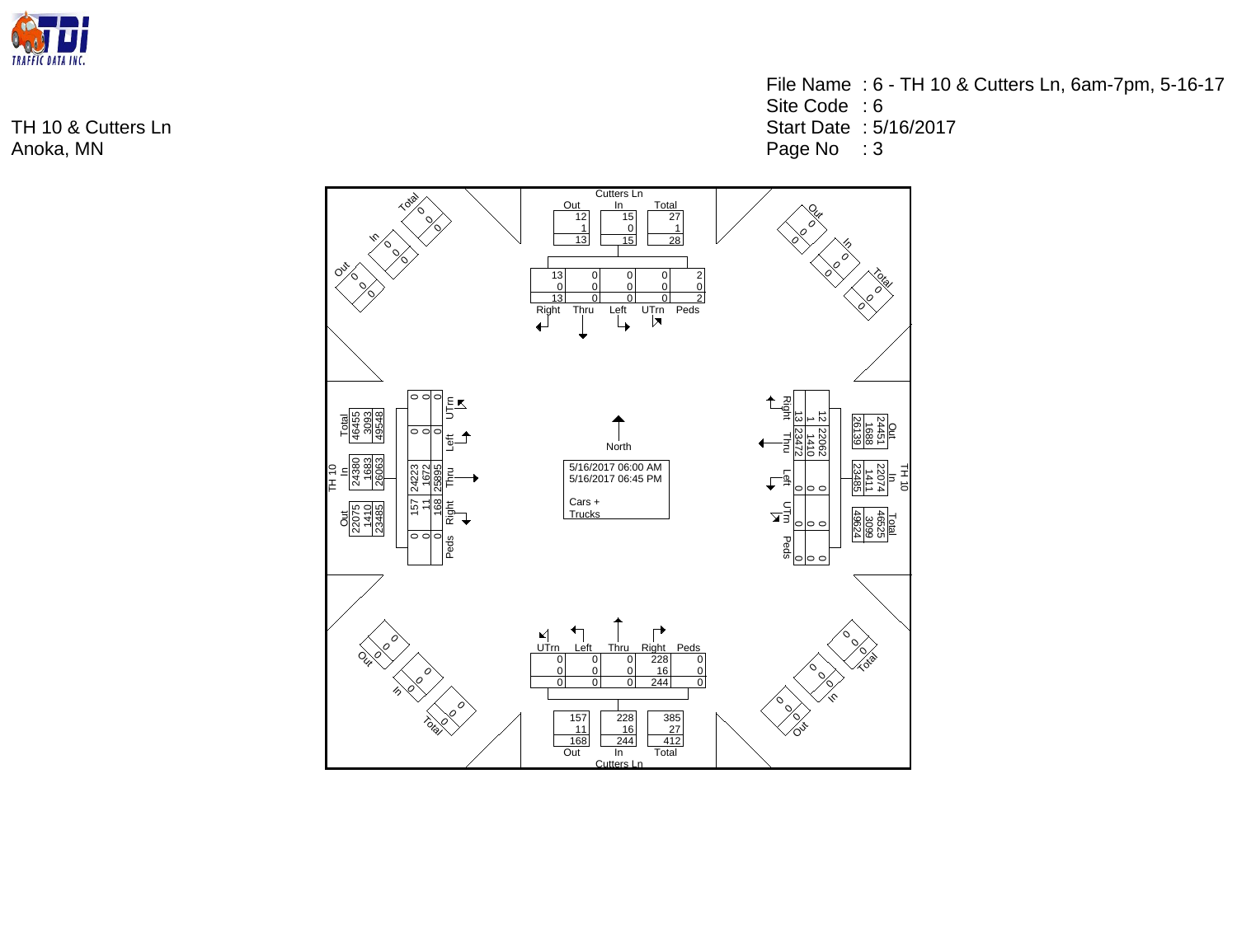

- Site Code : 6
- Start Date : 5/16/2017
- Page No : 3